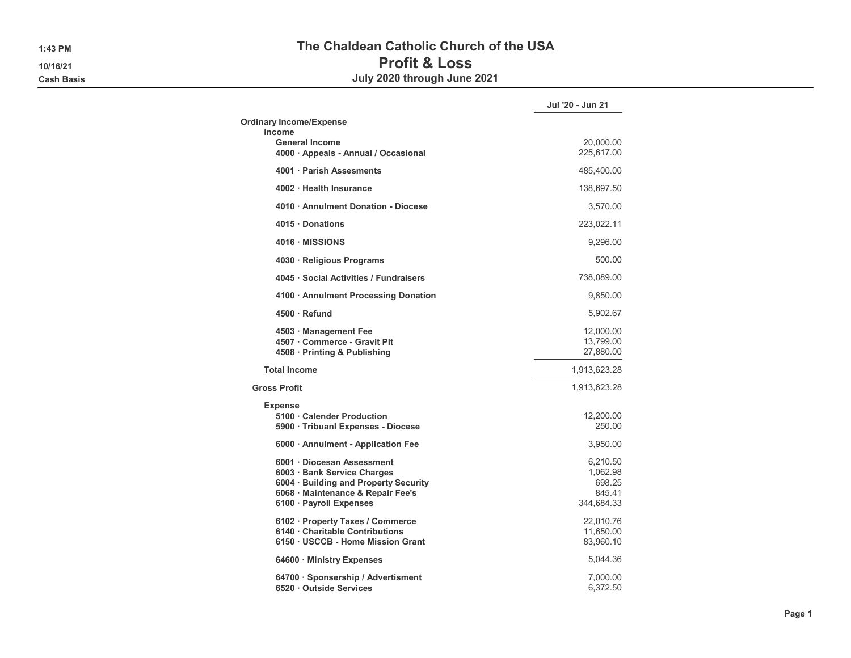|                                                                                                                                                                    | Jul '20 - Jun 21                                       |
|--------------------------------------------------------------------------------------------------------------------------------------------------------------------|--------------------------------------------------------|
| <b>Ordinary Income/Expense</b>                                                                                                                                     |                                                        |
| Income<br><b>General Income</b><br>4000 · Appeals - Annual / Occasional                                                                                            | 20,000.00<br>225,617.00                                |
| 4001 · Parish Assesments                                                                                                                                           | 485,400.00                                             |
| 4002 · Health Insurance                                                                                                                                            | 138,697.50                                             |
| 4010 · Annulment Donation - Diocese                                                                                                                                | 3,570.00                                               |
| 4015 · Donations                                                                                                                                                   | 223,022.11                                             |
| 4016 · MISSIONS                                                                                                                                                    | 9,296.00                                               |
| 4030 · Religious Programs                                                                                                                                          | 500.00                                                 |
| 4045 · Social Activities / Fundraisers                                                                                                                             | 738,089.00                                             |
| 4100 · Annulment Processing Donation                                                                                                                               | 9,850.00                                               |
| 4500 · Refund                                                                                                                                                      | 5,902.67                                               |
| 4503 Management Fee<br>4507 · Commerce - Gravit Pit<br>4508 · Printing & Publishing                                                                                | 12,000.00<br>13,799.00<br>27,880.00                    |
| <b>Total Income</b>                                                                                                                                                | 1,913,623.28                                           |
| <b>Gross Profit</b>                                                                                                                                                | 1,913,623.28                                           |
| <b>Expense</b><br>5100 · Calender Production<br>5900 · Tribuanl Expenses - Diocese                                                                                 | 12,200.00<br>250.00                                    |
| 6000 · Annulment - Application Fee                                                                                                                                 | 3,950.00                                               |
| 6001 · Diocesan Assessment<br>6003 · Bank Service Charges<br>6004 · Building and Property Security<br>6068 · Maintenance & Repair Fee's<br>6100 · Payroll Expenses | 6,210.50<br>1,062.98<br>698.25<br>845.41<br>344,684.33 |
| 6102 · Property Taxes / Commerce<br>6140 Charitable Contributions<br>6150 · USCCB - Home Mission Grant                                                             | 22,010.76<br>11,650.00<br>83,960.10                    |
| 64600 Ministry Expenses                                                                                                                                            | 5,044.36                                               |
| 64700 · Sponsership / Advertisment<br>6520 Outside Services                                                                                                        | 7,000.00<br>6,372.50                                   |